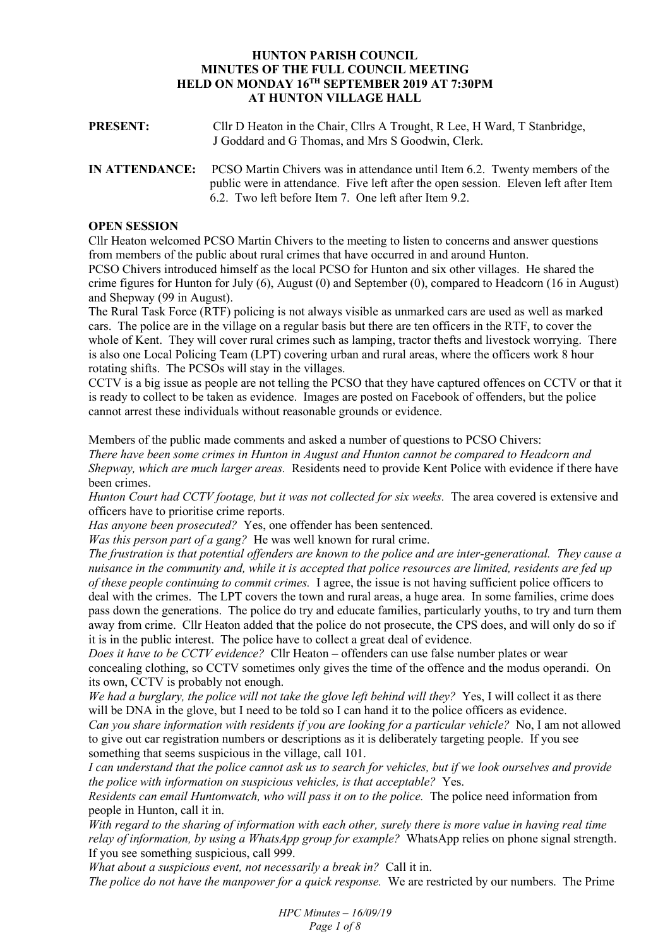# **HUNTON PARISH COUNCIL MINUTES OF THE FULL COUNCIL MEETING HELD ON MONDAY 16TH SEPTEMBER 2019 AT 7:30PM AT HUNTON VILLAGE HALL**

| <b>PRESENT:</b> | Cllr D Heaton in the Chair, Cllrs A Trought, R Lee, H Ward, T Stanbridge, |
|-----------------|---------------------------------------------------------------------------|
|                 | J Goddard and G Thomas, and Mrs S Goodwin, Clerk.                         |

**IN ATTENDANCE:** PCSO Martin Chivers was in attendance until Item 6.2. Twenty members of the public were in attendance. Five left after the open session. Eleven left after Item 6.2. Two left before Item 7. One left after Item 9.2.

#### **OPEN SESSION**

Cllr Heaton welcomed PCSO Martin Chivers to the meeting to listen to concerns and answer questions from members of the public about rural crimes that have occurred in and around Hunton.

PCSO Chivers introduced himself as the local PCSO for Hunton and six other villages. He shared the crime figures for Hunton for July (6), August (0) and September (0), compared to Headcorn (16 in August) and Shepway (99 in August).

The Rural Task Force (RTF) policing is not always visible as unmarked cars are used as well as marked cars. The police are in the village on a regular basis but there are ten officers in the RTF, to cover the whole of Kent. They will cover rural crimes such as lamping, tractor thefts and livestock worrying. There is also one Local Policing Team (LPT) covering urban and rural areas, where the officers work 8 hour rotating shifts. The PCSOs will stay in the villages.

CCTV is a big issue as people are not telling the PCSO that they have captured offences on CCTV or that it is ready to collect to be taken as evidence. Images are posted on Facebook of offenders, but the police cannot arrest these individuals without reasonable grounds or evidence.

Members of the public made comments and asked a number of questions to PCSO Chivers:

*There have been some crimes in Hunton in August and Hunton cannot be compared to Headcorn and Shepway, which are much larger areas.* Residents need to provide Kent Police with evidence if there have been crimes.

*Hunton Court had CCTV footage, but it was not collected for six weeks.* The area covered is extensive and officers have to prioritise crime reports.

*Has anyone been prosecuted?* Yes, one offender has been sentenced.

*Was this person part of a gang?* He was well known for rural crime.

*The frustration is that potential offenders are known to the police and are inter-generational. They cause a nuisance in the community and, while it is accepted that police resources are limited, residents are fed up of these people continuing to commit crimes.* I agree, the issue is not having sufficient police officers to deal with the crimes. The LPT covers the town and rural areas, a huge area. In some families, crime does pass down the generations. The police do try and educate families, particularly youths, to try and turn them away from crime. Cllr Heaton added that the police do not prosecute, the CPS does, and will only do so if it is in the public interest. The police have to collect a great deal of evidence.

*Does it have to be CCTV evidence?* Cllr Heaton – offenders can use false number plates or wear concealing clothing, so CCTV sometimes only gives the time of the offence and the modus operandi. On its own, CCTV is probably not enough.

*We had a burglary, the police will not take the glove left behind will they?* Yes, I will collect it as there will be DNA in the glove, but I need to be told so I can hand it to the police officers as evidence. *Can you share information with residents if you are looking for a particular vehicle?* No, I am not allowed to give out car registration numbers or descriptions as it is deliberately targeting people. If you see something that seems suspicious in the village, call 101.

*I can understand that the police cannot ask us to search for vehicles, but if we look ourselves and provide the police with information on suspicious vehicles, is that acceptable?* Yes.

*Residents can email Huntonwatch, who will pass it on to the police.* The police need information from people in Hunton, call it in.

*With regard to the sharing of information with each other, surely there is more value in having real time relay of information, by using a WhatsApp group for example?* WhatsApp relies on phone signal strength. If you see something suspicious, call 999.

*What about a suspicious event, not necessarily a break in?* Call it in. *The police do not have the manpower for a quick response.* We are restricted by our numbers. The Prime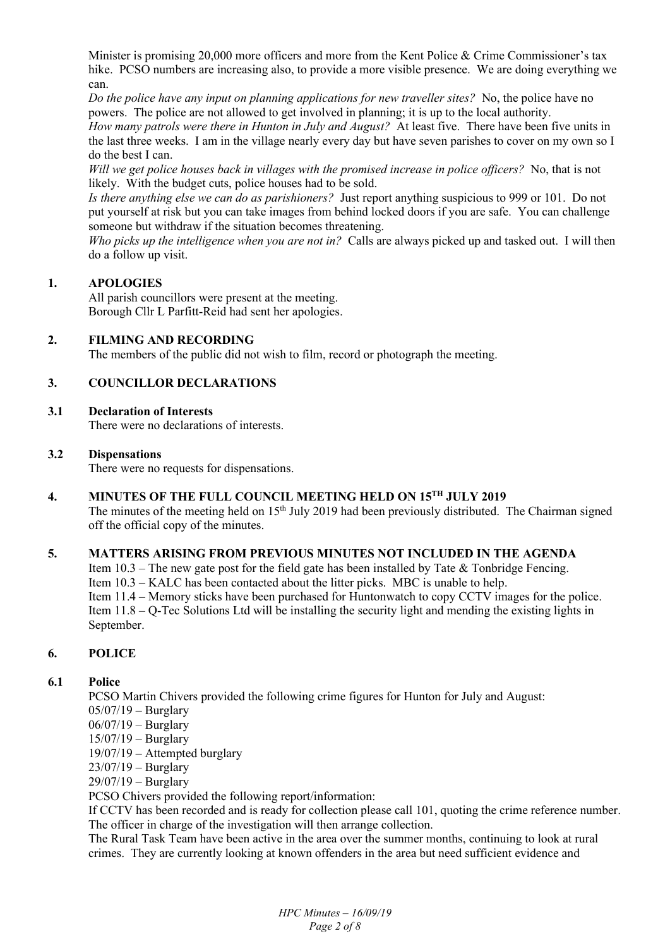Minister is promising 20,000 more officers and more from the Kent Police & Crime Commissioner's tax hike. PCSO numbers are increasing also, to provide a more visible presence. We are doing everything we can.

*Do the police have any input on planning applications for new traveller sites?* No, the police have no powers. The police are not allowed to get involved in planning; it is up to the local authority.

*How many patrols were there in Hunton in July and August?* At least five. There have been five units in the last three weeks. I am in the village nearly every day but have seven parishes to cover on my own so I do the best I can.

*Will we get police houses back in villages with the promised increase in police officers?* No, that is not likely. With the budget cuts, police houses had to be sold.

*Is there anything else we can do as parishioners?* Just report anything suspicious to 999 or 101. Do not put yourself at risk but you can take images from behind locked doors if you are safe. You can challenge someone but withdraw if the situation becomes threatening.

*Who picks up the intelligence when you are not in?* Calls are always picked up and tasked out. I will then do a follow up visit.

# **1. APOLOGIES**

All parish councillors were present at the meeting. Borough Cllr L Parfitt-Reid had sent her apologies.

# **2. FILMING AND RECORDING**

The members of the public did not wish to film, record or photograph the meeting.

# **3. COUNCILLOR DECLARATIONS**

### **3.1 Declaration of Interests**

There were no declarations of interests.

#### **3.2 Dispensations**

There were no requests for dispensations.

# **4. MINUTES OF THE FULL COUNCIL MEETING HELD ON 15TH JULY 2019**

The minutes of the meeting held on 15<sup>th</sup> July 2019 had been previously distributed. The Chairman signed off the official copy of the minutes.

### **5. MATTERS ARISING FROM PREVIOUS MINUTES NOT INCLUDED IN THE AGENDA**

Item 10.3 – The new gate post for the field gate has been installed by Tate & Tonbridge Fencing. Item 10.3 – KALC has been contacted about the litter picks. MBC is unable to help. Item 11.4 – Memory sticks have been purchased for Huntonwatch to copy CCTV images for the police. Item 11.8 – Q-Tec Solutions Ltd will be installing the security light and mending the existing lights in September.

# **6. POLICE**

### **6.1 Police**

PCSO Martin Chivers provided the following crime figures for Hunton for July and August:

- 05/07/19 Burglary
- 06/07/19 Burglary
- 15/07/19 Burglary
- 19/07/19 Attempted burglary
- 23/07/19 Burglary
- 29/07/19 Burglary

PCSO Chivers provided the following report/information:

If CCTV has been recorded and is ready for collection please call 101, quoting the crime reference number. The officer in charge of the investigation will then arrange collection.

The Rural Task Team have been active in the area over the summer months, continuing to look at rural crimes. They are currently looking at known offenders in the area but need sufficient evidence and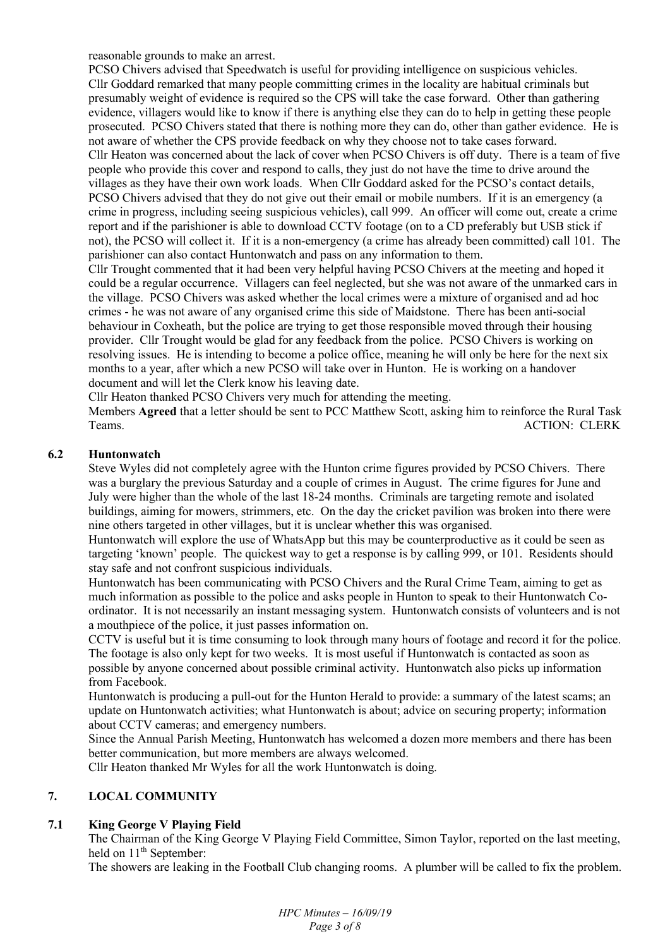reasonable grounds to make an arrest.

PCSO Chivers advised that Speedwatch is useful for providing intelligence on suspicious vehicles. Cllr Goddard remarked that many people committing crimes in the locality are habitual criminals but presumably weight of evidence is required so the CPS will take the case forward. Other than gathering evidence, villagers would like to know if there is anything else they can do to help in getting these people prosecuted. PCSO Chivers stated that there is nothing more they can do, other than gather evidence. He is not aware of whether the CPS provide feedback on why they choose not to take cases forward. Cllr Heaton was concerned about the lack of cover when PCSO Chivers is off duty. There is a team of five people who provide this cover and respond to calls, they just do not have the time to drive around the villages as they have their own work loads. When Cllr Goddard asked for the PCSO's contact details, PCSO Chivers advised that they do not give out their email or mobile numbers. If it is an emergency (a crime in progress, including seeing suspicious vehicles), call 999. An officer will come out, create a crime report and if the parishioner is able to download CCTV footage (on to a CD preferably but USB stick if not), the PCSO will collect it. If it is a non-emergency (a crime has already been committed) call 101. The parishioner can also contact Huntonwatch and pass on any information to them.

Cllr Trought commented that it had been very helpful having PCSO Chivers at the meeting and hoped it could be a regular occurrence. Villagers can feel neglected, but she was not aware of the unmarked cars in the village. PCSO Chivers was asked whether the local crimes were a mixture of organised and ad hoc crimes - he was not aware of any organised crime this side of Maidstone. There has been anti-social behaviour in Coxheath, but the police are trying to get those responsible moved through their housing provider. Cllr Trought would be glad for any feedback from the police. PCSO Chivers is working on resolving issues. He is intending to become a police office, meaning he will only be here for the next six months to a year, after which a new PCSO will take over in Hunton. He is working on a handover document and will let the Clerk know his leaving date.

Cllr Heaton thanked PCSO Chivers very much for attending the meeting.

Members **Agreed** that a letter should be sent to PCC Matthew Scott, asking him to reinforce the Rural Task Teams. ACTION: CLERK

# **6.2 Huntonwatch**

Steve Wyles did not completely agree with the Hunton crime figures provided by PCSO Chivers. There was a burglary the previous Saturday and a couple of crimes in August. The crime figures for June and July were higher than the whole of the last 18-24 months. Criminals are targeting remote and isolated buildings, aiming for mowers, strimmers, etc. On the day the cricket pavilion was broken into there were nine others targeted in other villages, but it is unclear whether this was organised.

Huntonwatch will explore the use of WhatsApp but this may be counterproductive as it could be seen as targeting 'known' people. The quickest way to get a response is by calling 999, or 101. Residents should stay safe and not confront suspicious individuals.

Huntonwatch has been communicating with PCSO Chivers and the Rural Crime Team, aiming to get as much information as possible to the police and asks people in Hunton to speak to their Huntonwatch Coordinator. It is not necessarily an instant messaging system. Huntonwatch consists of volunteers and is not a mouthpiece of the police, it just passes information on.

CCTV is useful but it is time consuming to look through many hours of footage and record it for the police. The footage is also only kept for two weeks. It is most useful if Huntonwatch is contacted as soon as possible by anyone concerned about possible criminal activity. Huntonwatch also picks up information from Facebook.

Huntonwatch is producing a pull-out for the Hunton Herald to provide: a summary of the latest scams; an update on Huntonwatch activities; what Huntonwatch is about; advice on securing property; information about CCTV cameras; and emergency numbers.

Since the Annual Parish Meeting, Huntonwatch has welcomed a dozen more members and there has been better communication, but more members are always welcomed.

Cllr Heaton thanked Mr Wyles for all the work Huntonwatch is doing.

# **7. LOCAL COMMUNITY**

# **7.1 King George V Playing Field**

The Chairman of the King George V Playing Field Committee, Simon Taylor, reported on the last meeting, held on 11<sup>th</sup> September:

The showers are leaking in the Football Club changing rooms. A plumber will be called to fix the problem.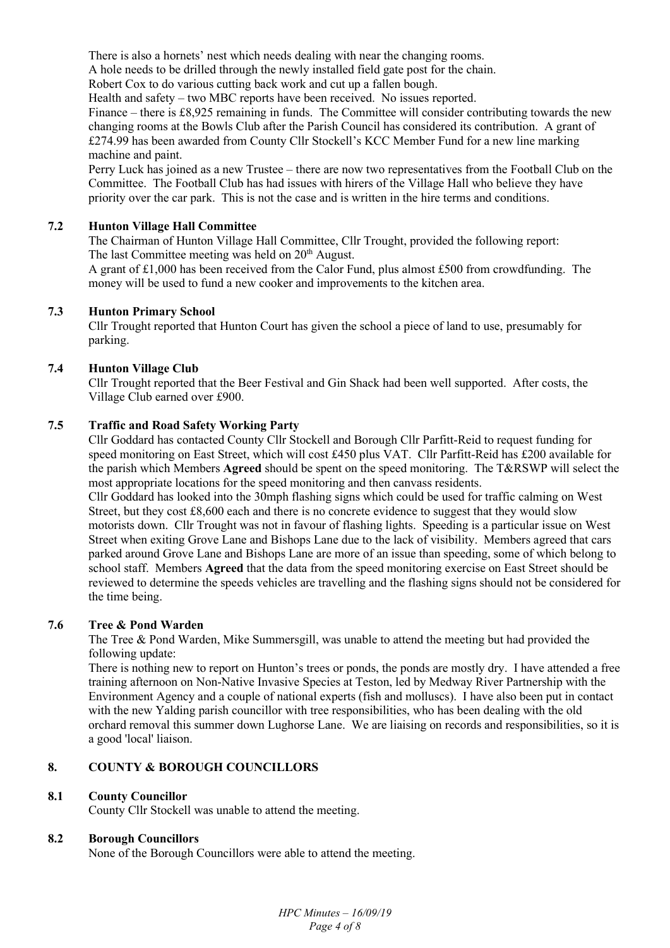There is also a hornets' nest which needs dealing with near the changing rooms.

A hole needs to be drilled through the newly installed field gate post for the chain.

Robert Cox to do various cutting back work and cut up a fallen bough.

Health and safety – two MBC reports have been received. No issues reported.

Finance – there is £8,925 remaining in funds. The Committee will consider contributing towards the new changing rooms at the Bowls Club after the Parish Council has considered its contribution. A grant of £274.99 has been awarded from County Cllr Stockell's KCC Member Fund for a new line marking machine and paint.

Perry Luck has joined as a new Trustee – there are now two representatives from the Football Club on the Committee. The Football Club has had issues with hirers of the Village Hall who believe they have priority over the car park. This is not the case and is written in the hire terms and conditions.

### **7.2 Hunton Village Hall Committee**

The Chairman of Hunton Village Hall Committee, Cllr Trought, provided the following report: The last Committee meeting was held on 20<sup>th</sup> August.

A grant of £1,000 has been received from the Calor Fund, plus almost £500 from crowdfunding. The money will be used to fund a new cooker and improvements to the kitchen area.

### **7.3 Hunton Primary School**

Cllr Trought reported that Hunton Court has given the school a piece of land to use, presumably for parking.

# **7.4 Hunton Village Club**

Cllr Trought reported that the Beer Festival and Gin Shack had been well supported. After costs, the Village Club earned over £900.

# **7.5 Traffic and Road Safety Working Party**

Cllr Goddard has contacted County Cllr Stockell and Borough Cllr Parfitt-Reid to request funding for speed monitoring on East Street, which will cost £450 plus VAT. Cllr Parfitt-Reid has £200 available for the parish which Members **Agreed** should be spent on the speed monitoring. The T&RSWP will select the most appropriate locations for the speed monitoring and then canvass residents.

Cllr Goddard has looked into the 30mph flashing signs which could be used for traffic calming on West Street, but they cost £8,600 each and there is no concrete evidence to suggest that they would slow motorists down. Cllr Trought was not in favour of flashing lights. Speeding is a particular issue on West Street when exiting Grove Lane and Bishops Lane due to the lack of visibility. Members agreed that cars parked around Grove Lane and Bishops Lane are more of an issue than speeding, some of which belong to school staff. Members **Agreed** that the data from the speed monitoring exercise on East Street should be reviewed to determine the speeds vehicles are travelling and the flashing signs should not be considered for the time being.

### **7.6 Tree & Pond Warden**

The Tree & Pond Warden, Mike Summersgill, was unable to attend the meeting but had provided the following update:

There is nothing new to report on Hunton's trees or ponds, the ponds are mostly dry. I have attended a free training afternoon on Non-Native Invasive Species at Teston, led by Medway River Partnership with the Environment Agency and a couple of national experts (fish and molluscs). I have also been put in contact with the new Yalding parish councillor with tree responsibilities, who has been dealing with the old orchard removal this summer down Lughorse Lane. We are liaising on records and responsibilities, so it is a good 'local' liaison.

# **8. COUNTY & BOROUGH COUNCILLORS**

### **8.1 County Councillor**

County Cllr Stockell was unable to attend the meeting.

### **8.2 Borough Councillors**

None of the Borough Councillors were able to attend the meeting.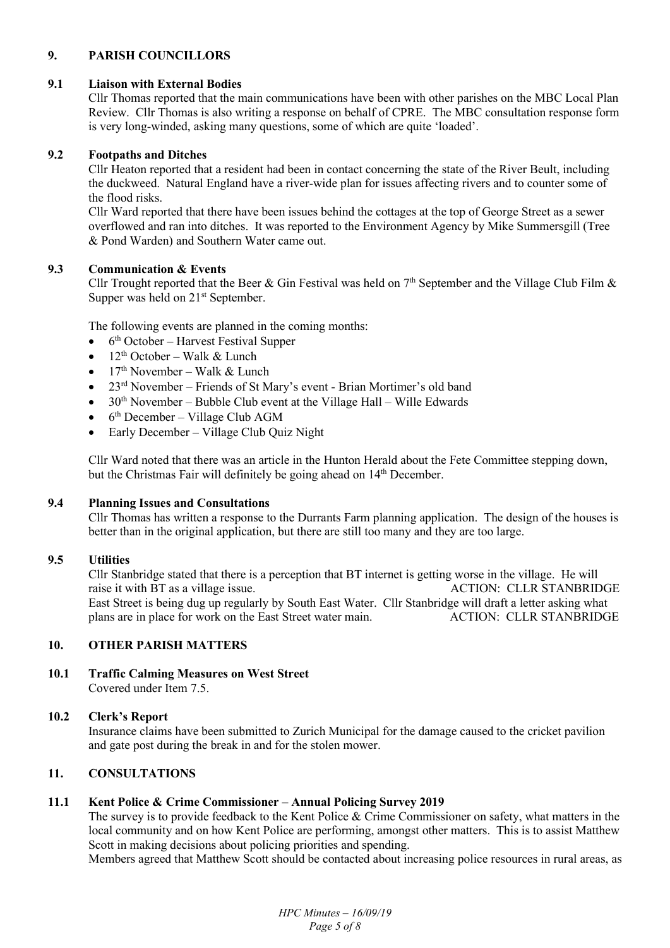# **9. PARISH COUNCILLORS**

# **9.1 Liaison with External Bodies**

Cllr Thomas reported that the main communications have been with other parishes on the MBC Local Plan Review. Cllr Thomas is also writing a response on behalf of CPRE. The MBC consultation response form is very long-winded, asking many questions, some of which are quite 'loaded'.

# **9.2 Footpaths and Ditches**

Cllr Heaton reported that a resident had been in contact concerning the state of the River Beult, including the duckweed. Natural England have a river-wide plan for issues affecting rivers and to counter some of the flood risks.

Cllr Ward reported that there have been issues behind the cottages at the top of George Street as a sewer overflowed and ran into ditches. It was reported to the Environment Agency by Mike Summersgill (Tree & Pond Warden) and Southern Water came out.

# **9.3 Communication & Events**

Cllr Trought reported that the Beer & Gin Festival was held on  $7<sup>th</sup>$  September and the Village Club Film & Supper was held on 21<sup>st</sup> September.

The following events are planned in the coming months:

- 6<sup>th</sup> October Harvest Festival Supper
- $\bullet$  12<sup>th</sup> October Walk & Lunch
- $17<sup>th</sup>$  November Walk & Lunch
- 23rd November Friends of St Mary's event Brian Mortimer's old band
- $\bullet$  30<sup>th</sup> November Bubble Club event at the Village Hall Wille Edwards
- 6<sup>th</sup> December Village Club AGM
- Early December Village Club Quiz Night

Cllr Ward noted that there was an article in the Hunton Herald about the Fete Committee stepping down, but the Christmas Fair will definitely be going ahead on 14<sup>th</sup> December.

# **9.4 Planning Issues and Consultations**

Cllr Thomas has written a response to the Durrants Farm planning application. The design of the houses is better than in the original application, but there are still too many and they are too large.

### **9.5 Utilities**

Cllr Stanbridge stated that there is a perception that BT internet is getting worse in the village. He will raise it with BT as a village issue. ACTION: CLLR STANBRIDGE East Street is being dug up regularly by South East Water. Cllr Stanbridge will draft a letter asking what plans are in place for work on the East Street water main. ACTION: CLLR STANBRIDGE

# **10. OTHER PARISH MATTERS**

#### **10.1 Traffic Calming Measures on West Street**  Covered under Item 7.5.

### **10.2 Clerk's Report**

Insurance claims have been submitted to Zurich Municipal for the damage caused to the cricket pavilion and gate post during the break in and for the stolen mower.

# **11. CONSULTATIONS**

### **11.1 Kent Police & Crime Commissioner – Annual Policing Survey 2019**

The survey is to provide feedback to the Kent Police & Crime Commissioner on safety, what matters in the local community and on how Kent Police are performing, amongst other matters. This is to assist Matthew Scott in making decisions about policing priorities and spending.

Members agreed that Matthew Scott should be contacted about increasing police resources in rural areas, as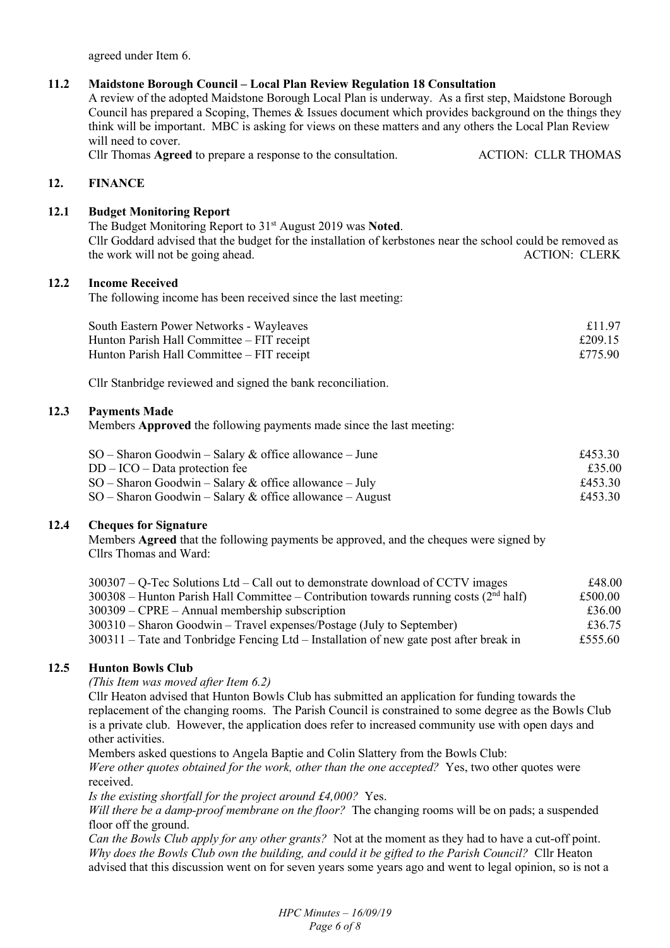agreed under Item 6.

# **11.2 Maidstone Borough Council – Local Plan Review Regulation 18 Consultation**

A review of the adopted Maidstone Borough Local Plan is underway. As a first step, Maidstone Borough Council has prepared a Scoping, Themes & Issues document which provides background on the things they think will be important. MBC is asking for views on these matters and any others the Local Plan Review will need to cover.

Cllr Thomas **Agreed** to prepare a response to the consultation. ACTION: CLLR THOMAS

### **12. FINANCE**

### **12.1 Budget Monitoring Report**

The Budget Monitoring Report to 31st August 2019 was **Noted**. Cllr Goddard advised that the budget for the installation of kerbstones near the school could be removed as the work will not be going ahead. ACTION: CLERK

# **12.2 Income Received**

The following income has been received since the last meeting:

| South Eastern Power Networks - Wayleaves   | £11.97  |
|--------------------------------------------|---------|
| Hunton Parish Hall Committee – FIT receipt | £209.15 |
| Hunton Parish Hall Committee – FIT receipt | £775.90 |

Cllr Stanbridge reviewed and signed the bank reconciliation.

### **12.3 Payments Made**

Members **Approved** the following payments made since the last meeting:

| $SO -$ Sharon Goodwin – Salary & office allowance – June   | £453.30 |
|------------------------------------------------------------|---------|
| $DD - ICO - Data protection fee$                           | £35.00  |
| $SO -$ Sharon Goodwin – Salary & office allowance – July   | £453.30 |
| $SO -$ Sharon Goodwin – Salary & office allowance – August | £453.30 |

### **12.4 Cheques for Signature**

Members **Agreed** that the following payments be approved, and the cheques were signed by Cllrs Thomas and Ward:

| $300307 - Q$ -Tec Solutions Ltd – Call out to demonstrate download of CCTV images          |         |
|--------------------------------------------------------------------------------------------|---------|
| $300308$ – Hunton Parish Hall Committee – Contribution towards running costs ( $2nd$ half) | £500.00 |
| $300309 - \text{CPRE} - \text{Annual membership subscription}$                             | £36.00  |
| $300310$ – Sharon Goodwin – Travel expenses/Postage (July to September)                    | £36.75  |
| $300311$ – Tate and Tonbridge Fencing Ltd – Installation of new gate post after break in   | £555.60 |

# **12.5 Hunton Bowls Club**

*(This Item was moved after Item 6.2)*

Cllr Heaton advised that Hunton Bowls Club has submitted an application for funding towards the replacement of the changing rooms. The Parish Council is constrained to some degree as the Bowls Club is a private club. However, the application does refer to increased community use with open days and other activities.

Members asked questions to Angela Baptie and Colin Slattery from the Bowls Club:

*Were other quotes obtained for the work, other than the one accepted?* Yes, two other quotes were received.

*Is the existing shortfall for the project around £4,000?* Yes.

*Will there be a damp-proof membrane on the floor?* The changing rooms will be on pads; a suspended floor off the ground.

*Can the Bowls Club apply for any other grants?* Not at the moment as they had to have a cut-off point. *Why does the Bowls Club own the building, and could it be gifted to the Parish Council?* Cllr Heaton advised that this discussion went on for seven years some years ago and went to legal opinion, so is not a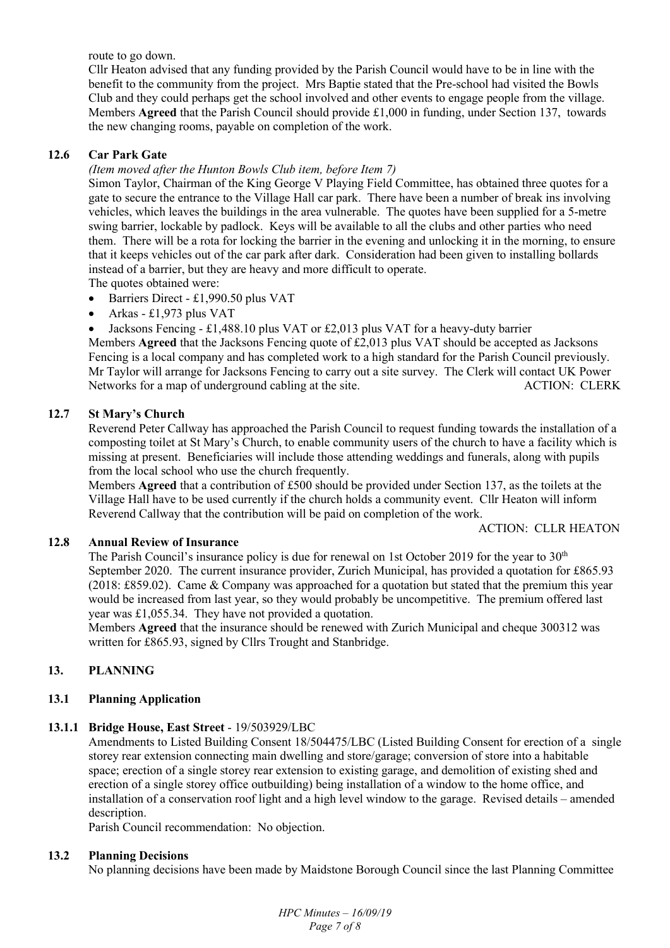route to go down.

Cllr Heaton advised that any funding provided by the Parish Council would have to be in line with the benefit to the community from the project. Mrs Baptie stated that the Pre-school had visited the Bowls Club and they could perhaps get the school involved and other events to engage people from the village. Members **Agreed** that the Parish Council should provide £1,000 in funding, under Section 137, towards the new changing rooms, payable on completion of the work.

### **12.6 Car Park Gate**

### *(Item moved after the Hunton Bowls Club item, before Item 7)*

Simon Taylor, Chairman of the King George V Playing Field Committee, has obtained three quotes for a gate to secure the entrance to the Village Hall car park. There have been a number of break ins involving vehicles, which leaves the buildings in the area vulnerable. The quotes have been supplied for a 5-metre swing barrier, lockable by padlock. Keys will be available to all the clubs and other parties who need them. There will be a rota for locking the barrier in the evening and unlocking it in the morning, to ensure that it keeps vehicles out of the car park after dark. Consideration had been given to installing bollards instead of a barrier, but they are heavy and more difficult to operate.

The quotes obtained were:

- $\bullet$  Barriers Direct £1,990.50 plus VAT
- $\bullet$  Arkas £1,973 plus VAT

Jacksons Fencing - £1,488.10 plus VAT or £2,013 plus VAT for a heavy-duty barrier

Members **Agreed** that the Jacksons Fencing quote of £2,013 plus VAT should be accepted as Jacksons Fencing is a local company and has completed work to a high standard for the Parish Council previously. Mr Taylor will arrange for Jacksons Fencing to carry out a site survey. The Clerk will contact UK Power Networks for a map of underground cabling at the site. ACTION: CLERK

# **12.7 St Mary's Church**

Reverend Peter Callway has approached the Parish Council to request funding towards the installation of a composting toilet at St Mary's Church, to enable community users of the church to have a facility which is missing at present. Beneficiaries will include those attending weddings and funerals, along with pupils from the local school who use the church frequently.

Members **Agreed** that a contribution of £500 should be provided under Section 137, as the toilets at the Village Hall have to be used currently if the church holds a community event. Cllr Heaton will inform Reverend Callway that the contribution will be paid on completion of the work.

ACTION: CLLR HEATON

### **12.8 Annual Review of Insurance**

The Parish Council's insurance policy is due for renewal on 1st October 2019 for the year to 30<sup>th</sup> September 2020. The current insurance provider, Zurich Municipal, has provided a quotation for £865.93 (2018: £859.02). Came & Company was approached for a quotation but stated that the premium this year would be increased from last year, so they would probably be uncompetitive. The premium offered last year was £1,055.34. They have not provided a quotation.

Members **Agreed** that the insurance should be renewed with Zurich Municipal and cheque 300312 was written for £865.93, signed by Cllrs Trought and Stanbridge.

### **13. PLANNING**

### **13.1 Planning Application**

### **13.1.1 Bridge House, East Street** - 19/503929/LBC

Amendments to Listed Building Consent 18/504475/LBC (Listed Building Consent for erection of a single storey rear extension connecting main dwelling and store/garage; conversion of store into a habitable space; erection of a single storey rear extension to existing garage, and demolition of existing shed and erection of a single storey office outbuilding) being installation of a window to the home office, and installation of a conservation roof light and a high level window to the garage. Revised details – amended description.

Parish Council recommendation: No objection.

# **13.2 Planning Decisions**

No planning decisions have been made by Maidstone Borough Council since the last Planning Committee